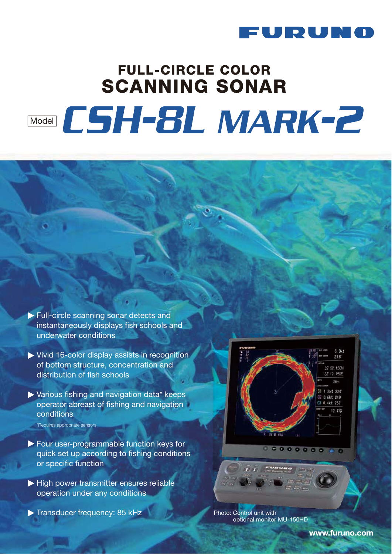

# **FULL-CIRCLE COLOR SCANNING SONAR** Model CSH-8L MARK-2

- Full-circle scanning sonar detects and instantaneously displays fish schools and underwater conditions
- Vivid 16-color display assists in recognition of bottom structure, concentration and distribution of fish schools
- Various fishing and navigation data\* keeps operator abreast of fishing and navigation conditions \*Requires appropriate sensors
- Four user-programmable function keys for quick set up according to fishing conditions or specific function
- $\blacktriangleright$  High power transmitter ensures reliable operation under any conditions
- Transducer frequency: 85 kHz



 $0.0000000000$ 

Photo: Control unit with optional monitor MU-150HD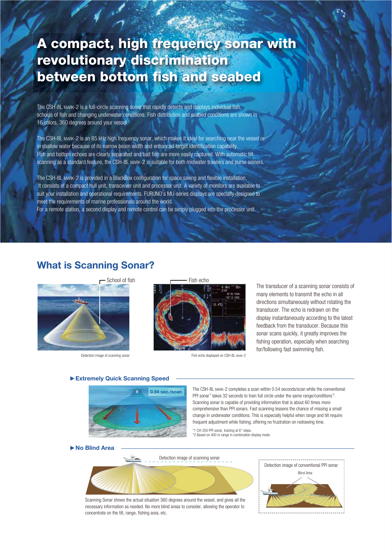# **A compact, high frequency sonar with revolutionary discrimination between bottom fish and seabed**

The CSH-8L MARK-2 is a full-circle scanning sonar that rapidly detects and displays individual fish, schools of fish and changing underwater conditions. Fish distribution and seabed conditions are shown in 16 colors, 360 degrees around your vessel.

The CSH-8L MARK-2 is an 85 kHz high frequency sonar, which makes it ideal for searching near the vessel or in shallow water because of its narrow beam width and enhanced target identification capability. Fish and bottom echoes are clearly separated and bait fish are more easily captured. With automatic tilt scanning as a standard feature, the CSH-8L MARK-2 is suitable for both midwater trawlers and purse seiners.

The CSH-8L MARK-2 is provided in a BlackBox configuration for space saving and flexible installation. It consists of a compact hull unit, transceiver unit and processor unit. A variety of monitors are available to suit your installation and operational requirements. FURUNO's MU-series displays are specially designed to meet the requirements of marine professionals around the world.

For a remote station, a second display and remote control can be simply plugged into the processor unit.

### **What is Scanning Sonar?**



Detection image of scanning sonar





Fish echo displayed on CSH-8L MARK-2

The transducer of a scanning sonar consists of many elements to transmit the echo in all directions simultaneously without rotating the transducer. The echo is redrawn on the display instantaneously according to the latest feedback from the transducer. Because this sonar scans quickly, it greatly improves the fishing operation, especially when searching for/following fast swimming fish.

#### **Extremely Quick Scanning Speed**



The CSH-8L MARK-2 completes a scan within 0.54 seconds/scan while the conventional PPI sonar<sup>\*1</sup> takes 32 seconds to train full circle under the same range/conditions<sup>\*2</sup>. Scanning sonar is capable of providing information that is about 60 times more comprehensive than PPI sonars. Fast scanning lessens the chance of missing a small change in underwater conditions. This is especially helpful when range and tilt require frequent adjustment while fishing, offering no frustration on redrawing time.

\*1 CH-250 PPI sonar, training at 6° steps. \*2 Based on 400 m range in combination display mode.

#### **No Blind Area**



Scanning Sonar shows the actual situation 360 degrees around the vessel, and gives all the necessary information as needed. No more blind areas to consider, allowing the operator to concentrate on the tilt, range, fishing area, etc.

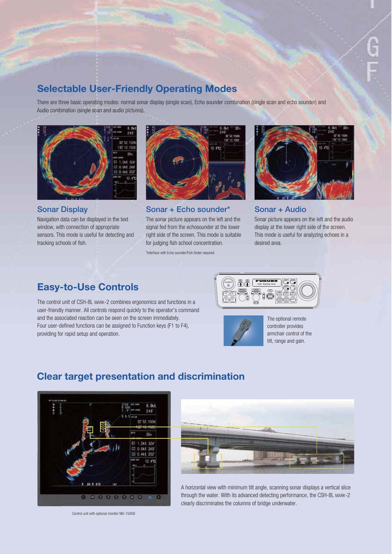# **Selectable User-Friendly Operating Modes**

There are three basic operating modes: normal sonar display (single scan), Echo sounder combination (single scan and echo sounder) and Audio combination (single scan and audio pictures).



**Sonar Display**

Navigation data can be displayed in the text window, with connection of appropriate sensors. This mode is useful for detecting and tracking schools of fish.



The sonar picture appears on the left and the signal fed from the echosounder at the lower right side of the screen. This mode is suitable for judging fish school concentration. **Sonar + Echo sounder\***

\*Interface with Echo sounder/Fish finder required



#### **Sonar + Audio**

Sonar picture appears on the left and the audio display at the lower right side of the screen. This mode is useful for analyzing echoes in a desired area.

# **Easy-to-Use Controls**

The control unit of CSH-8L MARK-2 combines ergonomics and functions in a user-friendly manner. All controls respond quickly to the operator's command and the associated reaction can be seen on the screen immediately. Four user-defined functions can be assigned to Function keys (F1 to F4), providing for rapid setup and operation.





The optional remote controller provides armchair control of the tilt, range and gain.

# **Clear target presentation and discrimination**



Control unit with optional monitor MU-150HD



A horizontal view with minimum tilt angle, scanning sonar displays a vertical slice through the water. With its advanced detecting performance, the CSH-8L MARK-2 clearly discriminates the columns of bridge underwater.